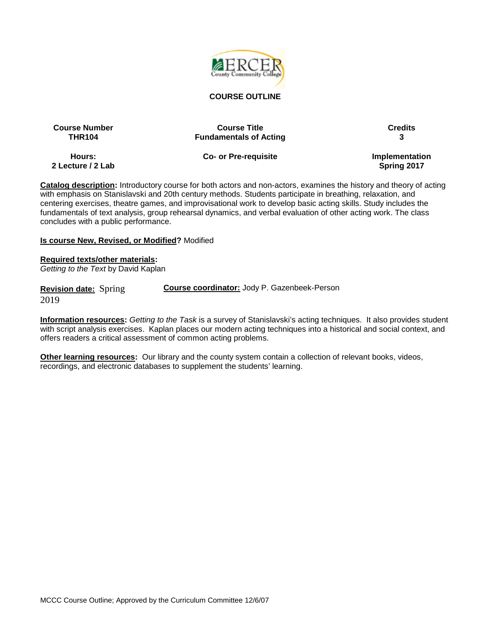

#### **COURSE OUTLINE**

|               | <b>Course Number</b> |
|---------------|----------------------|
| <b>THR104</b> |                      |

**Course Title Course Title Credits Fundamentals of Acting 3** 

**Hours: 2 Lecture / 2 Lab** **Co- or Pre-requisite Implementation** 

**Spring 2017**

**Catalog description:** Introductory course for both actors and non-actors, examines the history and theory of acting with emphasis on Stanislavski and 20th century methods. Students participate in breathing, relaxation, and centering exercises, theatre games, and improvisational work to develop basic acting skills. Study includes the fundamentals of text analysis, group rehearsal dynamics, and verbal evaluation of other acting work. The class concludes with a public performance.

#### **Is course New, Revised, or Modified?** Modified

**Required texts/other materials:**

*Getting to the Text* by David Kaplan

**Revision date:** Spring 2019

**Course coordinator:** Jody P. Gazenbeek-Person

**Information resources:** *Getting to the Task* is a survey of Stanislavski's acting techniques. It also provides student with script analysis exercises. Kaplan places our modern acting techniques into a historical and social context, and offers readers a critical assessment of common acting problems.

**Other learning resources:** Our library and the county system contain a collection of relevant books, videos, recordings, and electronic databases to supplement the students' learning.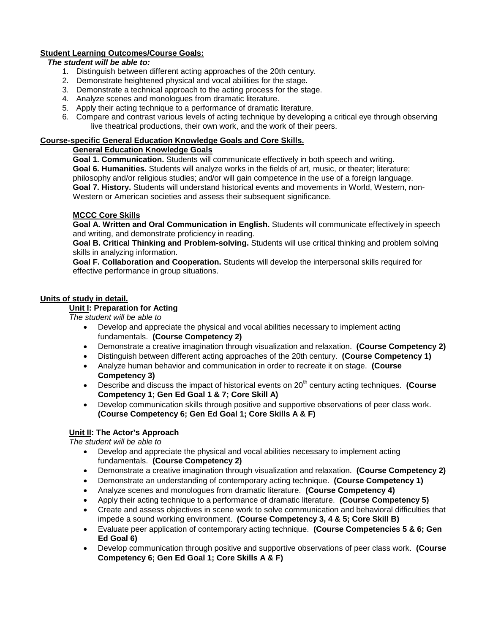# **Student Learning Outcomes/Course Goals:**

## *The student will be able to:*

- 1. Distinguish between different acting approaches of the 20th century.
- 2. Demonstrate heightened physical and vocal abilities for the stage.
- 3. Demonstrate a technical approach to the acting process for the stage.
- 4. Analyze scenes and monologues from dramatic literature.
- 5. Apply their acting technique to a performance of dramatic literature.
- 6. Compare and contrast various levels of acting technique by developing a critical eye through observing live theatrical productions, their own work, and the work of their peers.

#### **Course-specific General Education Knowledge Goals and Core Skills.**

#### **General Education Knowledge Goals**

**Goal 1. Communication.** Students will communicate effectively in both speech and writing. **Goal 6. Humanities.** Students will analyze works in the fields of art, music, or theater; literature; philosophy and/or religious studies; and/or will gain competence in the use of a foreign language. **Goal 7. History.** Students will understand historical events and movements in World, Western, non-Western or American societies and assess their subsequent significance.

## **MCCC Core Skills**

**Goal A. Written and Oral Communication in English.** Students will communicate effectively in speech and writing, and demonstrate proficiency in reading.

**Goal B. Critical Thinking and Problem-solving.** Students will use critical thinking and problem solving skills in analyzing information.

**Goal F. Collaboration and Cooperation.** Students will develop the interpersonal skills required for effective performance in group situations.

## **Units of study in detail.**

# **Unit I: Preparation for Acting**

*The student will be able to*

- Develop and appreciate the physical and vocal abilities necessary to implement acting fundamentals. **(Course Competency 2)**
- Demonstrate a creative imagination through visualization and relaxation. **(Course Competency 2)**
- Distinguish between different acting approaches of the 20th century. **(Course Competency 1)**
- Analyze human behavior and communication in order to recreate it on stage. **(Course Competency 3)**
- Describe and discuss the impact of historical events on 20<sup>th</sup> century acting techniques. **(Course Competency 1; Gen Ed Goal 1 & 7; Core Skill A)**
- Develop communication skills through positive and supportive observations of peer class work. **(Course Competency 6; Gen Ed Goal 1; Core Skills A & F)**

## **Unit II: The Actor's Approach**

*The student will be able to*

- Develop and appreciate the physical and vocal abilities necessary to implement acting fundamentals. **(Course Competency 2)**
- Demonstrate a creative imagination through visualization and relaxation. **(Course Competency 2)**
- Demonstrate an understanding of contemporary acting technique. **(Course Competency 1)**
- Analyze scenes and monologues from dramatic literature. **(Course Competency 4)**
- Apply their acting technique to a performance of dramatic literature. **(Course Competency 5)**
- Create and assess objectives in scene work to solve communication and behavioral difficulties that impede a sound working environment. **(Course Competency 3, 4 & 5; Core Skill B)**
- Evaluate peer application of contemporary acting technique. **(Course Competencies 5 & 6; Gen Ed Goal 6)**
- Develop communication through positive and supportive observations of peer class work. **(Course Competency 6; Gen Ed Goal 1; Core Skills A & F)**